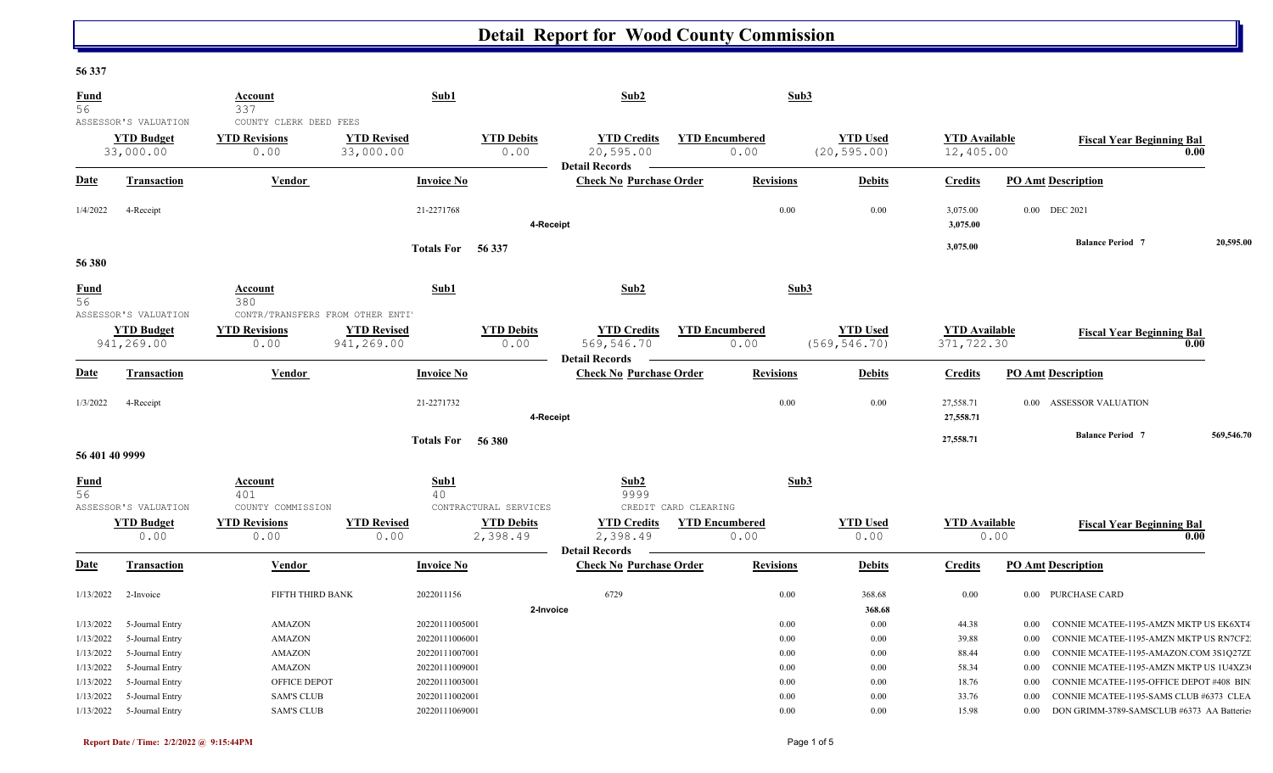### **56 337**

| <b>Fund</b><br>56                   | ASSESSOR'S VALUATION                                  | Account<br>337<br>COUNTY CLERK DEED FEES                       | Sub1                                               |                               | Sub2                                                      |                               | Sub3                                         |                                    |                           |                                                                                                                               |            |
|-------------------------------------|-------------------------------------------------------|----------------------------------------------------------------|----------------------------------------------------|-------------------------------|-----------------------------------------------------------|-------------------------------|----------------------------------------------|------------------------------------|---------------------------|-------------------------------------------------------------------------------------------------------------------------------|------------|
|                                     | <b>YTD Budget</b><br>33,000.00                        | <b>YTD Revisions</b><br>0.00                                   | <b>YTD Revised</b><br>33,000.00                    | <b>YTD Debits</b><br>0.00     | <b>YTD Credits</b><br>20,595.00<br><b>Detail Records</b>  | <b>YTD Encumbered</b><br>0.00 | <b>YTD Used</b><br>(20, 595.00)              | <b>YTD</b> Available<br>12,405.00  |                           | <b>Fiscal Year Beginning Bal</b><br>0.00                                                                                      |            |
| <b>Date</b>                         | Transaction                                           | <b>Vendor</b>                                                  | <b>Invoice No</b>                                  |                               | <b>Check No Purchase Order</b>                            | <b>Revisions</b>              | <b>Debits</b>                                | <b>Credits</b>                     | <b>PO Amt Description</b> |                                                                                                                               |            |
| 1/4/2022                            | 4-Receipt                                             |                                                                | 21-2271768                                         | 4-Receipt                     |                                                           |                               | 0.00<br>0.00                                 | 3,075.00<br>3,075.00               | 0.00 DEC 2021             |                                                                                                                               |            |
| 56 380                              |                                                       |                                                                | Totals For 56 337                                  |                               |                                                           |                               |                                              | 3,075.00                           |                           | <b>Balance Period 7</b>                                                                                                       | 20,595.00  |
| <b>Fund</b><br>$\overline{56}$      | ASSESSOR'S VALUATION                                  | Account<br>$\frac{1}{380}$<br>CONTR/TRANSFERS FROM OTHER ENTI' | Sub1                                               |                               | Sub2                                                      |                               | Sub3                                         |                                    |                           |                                                                                                                               |            |
|                                     | <b>YTD Budget</b><br>941,269.00                       | <b>YTD Revisions</b><br>0.00                                   | <b>YTD Revised</b><br>941,269.00                   | <b>YTD Debits</b><br>0.00     | <b>YTD Credits</b><br>569,546.70<br><b>Detail Records</b> | <b>YTD Encumbered</b><br>0.00 | <b>YTD Used</b><br>(569, 546.70)             | <b>YTD Available</b><br>371,722.30 |                           | <b>Fiscal Year Beginning Bal</b><br>0.00                                                                                      |            |
| <u>Date</u>                         | <b>Transaction</b>                                    | Vendor                                                         | <b>Invoice No</b>                                  |                               | <b>Check No Purchase Order</b>                            | <b>Revisions</b>              | <b>Debits</b>                                | <b>Credits</b>                     | <b>PO Amt Description</b> |                                                                                                                               |            |
| 1/3/2022                            | 4-Receipt                                             |                                                                | 21-2271732                                         | 4-Receipt                     |                                                           |                               | 0.00<br>0.00                                 | 27,558.71<br>27,558.71             |                           | 0.00 ASSESSOR VALUATION                                                                                                       |            |
| 56 401 40 9999                      |                                                       |                                                                | Totals For 56 380                                  |                               |                                                           |                               |                                              | 27,558.71                          |                           | <b>Balance Period 7</b>                                                                                                       | 569,546.70 |
| <b>Fund</b><br>56                   | ASSESSOR'S VALUATION                                  | <b>Account</b><br>401<br>COUNTY COMMISSION                     | Sub1<br>40                                         | CONTRACTURAL SERVICES         | Sub2<br>9999                                              | CREDIT CARD CLEARING          | Sub3                                         |                                    |                           |                                                                                                                               |            |
|                                     | <b>YTD Budget</b><br>0.00                             | <b>YTD Revisions</b><br>0.00                                   | <b>YTD Revised</b><br>0.00                         | <b>YTD Debits</b><br>2,398.49 | <b>YTD Credits</b><br>2,398.49<br><b>Detail Records</b>   | <b>YTD Encumbered</b><br>0.00 | <b>YTD Used</b><br>0.00                      | <b>YTD Available</b>               | 0.00                      | <b>Fiscal Year Beginning Bal</b><br>$\overline{0.00}$                                                                         |            |
| <b>Date</b>                         | <b>Transaction</b>                                    | <b>Vendor</b>                                                  | <b>Invoice No</b>                                  |                               | <b>Check No Purchase Order</b>                            | <b>Revisions</b>              | <b>Debits</b>                                | <b>Credits</b>                     | <b>PO Amt Description</b> |                                                                                                                               |            |
| 1/13/2022                           | 2-Invoice                                             | FIFTH THIRD BANK                                               | 2022011156                                         | 2-Invoice                     | 6729                                                      |                               | 0.00<br>368.68<br>368.68                     | 0.00                               | $0.00\,$                  | PURCHASE CARD                                                                                                                 |            |
| 1/13/2022<br>1/13/2022<br>1/13/2022 | 5-Journal Entry<br>5-Journal Entry<br>5-Journal Entry | AMAZON<br>AMAZON<br>AMAZON                                     | 20220111005001<br>20220111006001<br>20220111007001 |                               |                                                           |                               | 0.00<br>0.00<br>0.00<br>0.00<br>0.00<br>0.00 | 44.38<br>39.88<br>88.44            | 0.00<br>0.00<br>0.00      | CONNIE MCATEE-1195-AMZN MKTP US EK6XT4<br>CONNIE MCATEE-1195-AMZN MKTP US RN7CF2<br>CONNIE MCATEE-1195-AMAZON.COM 3S1Q27ZI    |            |
| 1/13/2022<br>1/13/2022<br>1/13/2022 | 5-Journal Entry<br>5-Journal Entry<br>5-Journal Entry | AMAZON<br>OFFICE DEPOT<br><b>SAM'S CLUB</b>                    | 20220111009001<br>20220111003001<br>20220111002001 |                               |                                                           |                               | 0.00<br>0.00<br>0.00<br>0.00<br>0.00<br>0.00 | 58.34<br>18.76<br>33.76            | 0.00<br>0.00<br>0.00      | CONNIE MCATEE-1195-AMZN MKTP US 1U4XZ3<br>CONNIE MCATEE-1195-OFFICE DEPOT #408 BIN<br>CONNIE MCATEE-1195-SAMS CLUB #6373 CLEA |            |
| 1/13/2022                           | 5-Journal Entry                                       | <b>SAM'S CLUB</b>                                              | 20220111069001                                     |                               |                                                           |                               | 0.00<br>0.00                                 | 15.98                              | 0.00                      | DON GRIMM-3789-SAMSCLUB #6373 AA Batteries                                                                                    |            |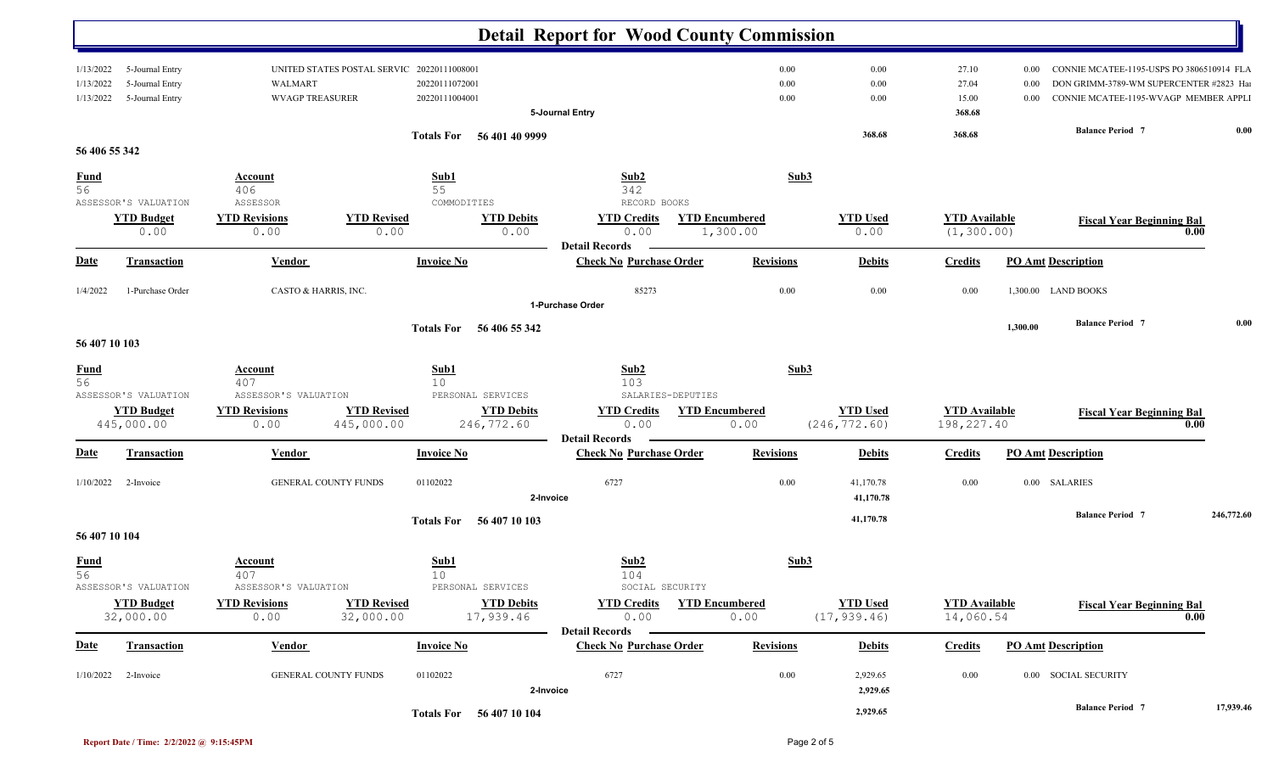|                   |                       |                        |                                           |                                    | <b>Detail Report for Wood County Commission</b> |                       |                 |                      |          |                                           |            |
|-------------------|-----------------------|------------------------|-------------------------------------------|------------------------------------|-------------------------------------------------|-----------------------|-----------------|----------------------|----------|-------------------------------------------|------------|
|                   |                       |                        |                                           |                                    |                                                 |                       |                 |                      |          |                                           |            |
| 1/13/2022         | 5-Journal Entry       |                        | UNITED STATES POSTAL SERVIC 2022011100800 |                                    |                                                 | 0.00                  | 0.00            | 27.10                | 0.00     | CONNIE MCATEE-1195-USPS PO 3806510914 FLA |            |
| 1/13/2022         | 5-Journal Entry       | WALMART                |                                           | 20220111072001                     |                                                 | 0.00                  | 0.00            | 27.04                | 0.00     | DON GRIMM-3789-WM SUPERCENTER #2823  Hai  |            |
| 1/13/2022         | 5-Journal Entry       | <b>WVAGP TREASURER</b> |                                           | 20220111004001                     |                                                 | 0.00                  | 0.00            | 15.00                | $0.00\,$ | CONNIE MCATEE-1195-WVAGP MEMBER APPLI     |            |
|                   |                       |                        |                                           |                                    | 5-Journal Entry                                 |                       |                 | 368.68               |          |                                           |            |
|                   |                       |                        |                                           | Totals For 56 401 40 9999          |                                                 |                       | 368.68          | 368.68               |          | <b>Balance Period 7</b>                   | 0.00       |
| 56 406 55 342     |                       |                        |                                           |                                    |                                                 |                       |                 |                      |          |                                           |            |
|                   |                       |                        |                                           |                                    |                                                 |                       |                 |                      |          |                                           |            |
| $\frac{Fund}{56}$ |                       | <b>Account</b>         |                                           | Sub1                               | Sub2                                            | Sub3                  |                 |                      |          |                                           |            |
|                   |                       | 406                    |                                           | 55                                 | 342                                             |                       |                 |                      |          |                                           |            |
|                   | ASSESSOR'S VALUATION  | ASSESSOR               |                                           | COMMODITIES                        | RECORD BOOKS                                    |                       |                 |                      |          |                                           |            |
|                   | <b>YTD Budget</b>     | <b>YTD Revisions</b>   | <b>YTD Revised</b>                        | <b>YTD Debits</b>                  | <b>YTD Credits</b>                              | <b>YTD Encumbered</b> | <b>YTD Used</b> | <b>YTD</b> Available |          | <b>Fiscal Year Beginning Bal</b>          |            |
|                   | 0.00                  | 0.00                   | 0.00                                      | 0.00                               | 0.00<br><b>Detail Records</b>                   | 1,300.00              | 0.00            | (1, 300.00)          |          | 0.00                                      |            |
| <b>Date</b>       | <b>Transaction</b>    | <b>Vendor</b>          |                                           | <b>Invoice No</b>                  | <b>Check No Purchase Order</b>                  | <b>Revisions</b>      | <b>Debits</b>   | <b>Credits</b>       |          | <b>PO Amt Description</b>                 |            |
|                   |                       |                        |                                           |                                    |                                                 |                       |                 |                      |          |                                           |            |
| 1/4/2022          | 1-Purchase Order      | CASTO & HARRIS, INC.   |                                           |                                    | 85273                                           | 0.00                  | 0.00            | 0.00                 |          | 1,300.00 LAND BOOKS                       |            |
|                   |                       |                        |                                           |                                    | 1-Purchase Order                                |                       |                 |                      |          |                                           |            |
|                   |                       |                        |                                           |                                    |                                                 |                       |                 |                      | 1,300.00 | <b>Balance Period 7</b>                   | 0.00       |
|                   |                       |                        |                                           | 56 406 55 342<br><b>Totals For</b> |                                                 |                       |                 |                      |          |                                           |            |
| 56 407 10 103     |                       |                        |                                           |                                    |                                                 |                       |                 |                      |          |                                           |            |
|                   |                       | <b>Account</b>         |                                           | Sub1                               | Sub <sub>2</sub>                                | Sub3                  |                 |                      |          |                                           |            |
| $\frac{Fund}{56}$ |                       | 407                    |                                           | 10 <sup>°</sup>                    | 103                                             |                       |                 |                      |          |                                           |            |
|                   | ASSESSOR'S VALUATION  | ASSESSOR'S VALUATION   |                                           | PERSONAL SERVICES                  | SALARIES-DEPUTIES                               |                       |                 |                      |          |                                           |            |
|                   | <b>YTD Budget</b>     | <b>YTD Revisions</b>   | <b>YTD Revised</b>                        | <b>YTD Debits</b>                  | <b>YTD Credits</b>                              | <b>YTD Encumbered</b> | <b>YTD Used</b> | <b>YTD</b> Available |          | <b>Fiscal Year Beginning Bal</b>          |            |
|                   | 445,000.00            | 0.00                   | 445,000.00                                | 246,772.60                         | 0.00                                            | 0.00                  | (246, 772.60)   | 198,227.40           |          | 0.00                                      |            |
|                   |                       |                        |                                           |                                    | <b>Detail Records</b>                           |                       |                 |                      |          |                                           |            |
| <u>Date</u>       | Transaction           | <b>Vendor</b>          |                                           | <b>Invoice No</b>                  | <b>Check No Purchase Order</b>                  | <b>Revisions</b>      | <b>Debits</b>   | <b>Credits</b>       |          | <b>PO Amt Description</b>                 |            |
| 1/10/2022         | 2-Invoice             | GENERAL COUNTY FUNDS   |                                           | 01102022                           | 6727                                            | 0.00                  | 41,170.78       | 0.00                 |          | 0.00 SALARIES                             |            |
|                   |                       |                        |                                           |                                    | 2-Invoice                                       |                       | 41,170.78       |                      |          |                                           |            |
|                   |                       |                        |                                           |                                    |                                                 |                       |                 |                      |          | <b>Balance Period 7</b>                   | 246,772.60 |
|                   |                       |                        |                                           | 56 407 10 103<br><b>Totals For</b> |                                                 |                       | 41,170.78       |                      |          |                                           |            |
| 56 407 10 104     |                       |                        |                                           |                                    |                                                 |                       |                 |                      |          |                                           |            |
| <b>Fund</b>       |                       | Account                |                                           | Sub1                               | Sub2                                            | Sub3                  |                 |                      |          |                                           |            |
| 56                |                       | 407                    |                                           | 10                                 | 104                                             |                       |                 |                      |          |                                           |            |
|                   | ASSESSOR'S VALUATION  | ASSESSOR'S VALUATION   |                                           | PERSONAL SERVICES                  | SOCIAL SECURITY                                 |                       |                 |                      |          |                                           |            |
|                   | <b>YTD Budget</b>     | <b>YTD Revisions</b>   | <b>YTD Revised</b>                        | <b>YTD Debits</b>                  | <b>YTD Credits</b>                              | <b>YTD Encumbered</b> | <b>YTD Used</b> | <b>YTD Available</b> |          | <b>Fiscal Year Beginning Bal</b>          |            |
|                   | 32,000.00             | 0.00                   | 32,000.00                                 | 17,939.46                          | 0.00                                            | 0.00                  | (17, 939.46)    | 14,060.54            |          | 0.00                                      |            |
|                   |                       |                        |                                           |                                    | <b>Detail Records</b>                           |                       |                 |                      |          |                                           |            |
| <u>Date</u>       | <b>Transaction</b>    | <u>Vendor</u>          |                                           | <b>Invoice No</b>                  | <b>Check No Purchase Order</b>                  | <b>Revisions</b>      | <b>Debits</b>   | <b>Credits</b>       |          | <b>PO Amt Description</b>                 |            |
|                   |                       |                        |                                           |                                    |                                                 |                       |                 |                      |          |                                           |            |
|                   | $1/10/2022$ 2-Invoice | GENERAL COUNTY FUNDS   |                                           | 01102022                           | 6727                                            | 0.00                  | 2,929.65        | $0.00\,$             |          | 0.00 SOCIAL SECURITY                      |            |
|                   |                       |                        |                                           |                                    | 2-Invoice                                       |                       | 2,929.65        |                      |          |                                           |            |
|                   |                       |                        |                                           | Totals For 56 407 10 104           |                                                 |                       | 2,929.65        |                      |          | <b>Balance Period 7</b>                   | 17,939.46  |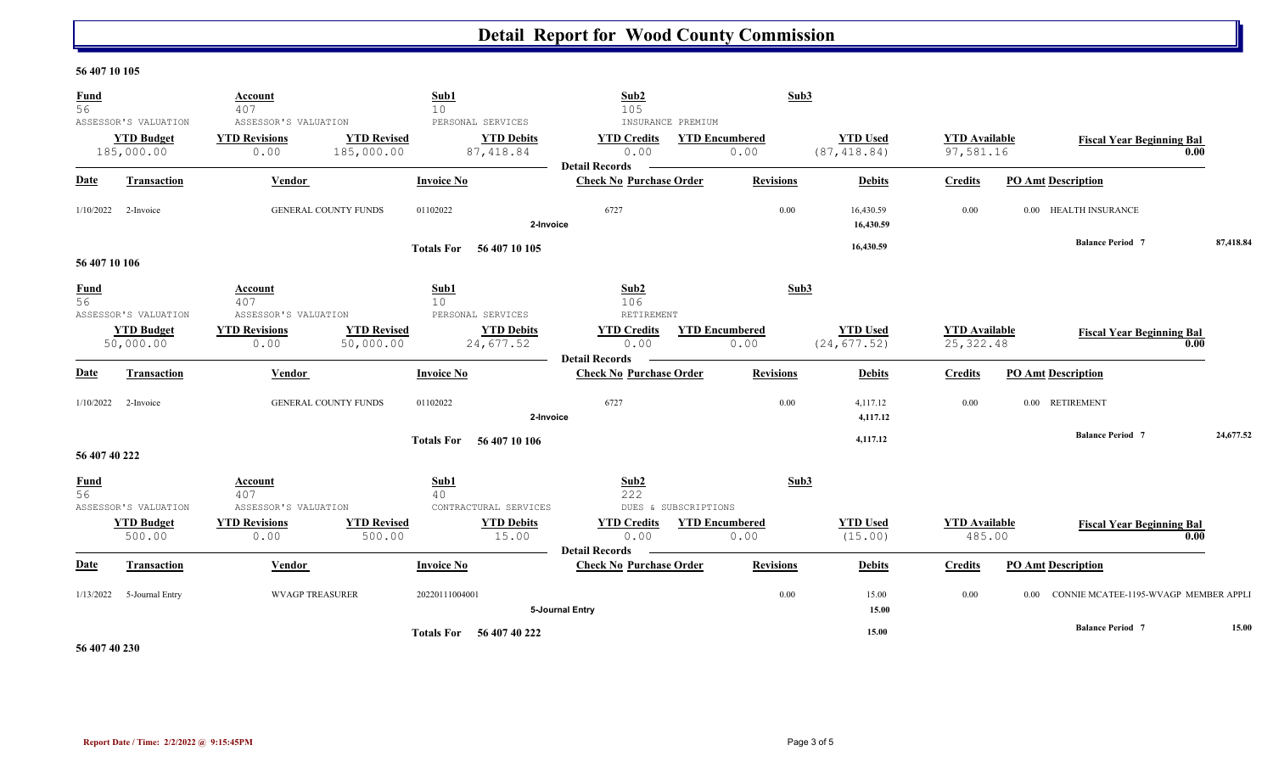#### **56 407 10 105**

| <b>Fund</b><br>56 |                                                         | Account<br>407                                       | Sub1<br>10                                                                               | Sub2<br>105                                                              | Sub3                          |                                 |                                    |                                          |           |
|-------------------|---------------------------------------------------------|------------------------------------------------------|------------------------------------------------------------------------------------------|--------------------------------------------------------------------------|-------------------------------|---------------------------------|------------------------------------|------------------------------------------|-----------|
|                   | ASSESSOR'S VALUATION<br><b>YTD Budget</b><br>185,000.00 | ASSESSOR'S VALUATION<br><b>YTD Revisions</b><br>0.00 | PERSONAL SERVICES<br><b>YTD Revised</b><br><b>YTD Debits</b><br>185,000.00<br>87, 418.84 | INSURANCE PREMIUM<br><b>YTD Credits</b><br>0.00<br><b>Detail Records</b> | <b>YTD Encumbered</b><br>0.00 | <b>YTD Used</b><br>(87, 418.84) | <b>YTD</b> Available<br>97,581.16  | <b>Fiscal Year Beginning Bal</b><br>0.00 |           |
| <b>Date</b>       | <b>Transaction</b>                                      | Vendor                                               | <b>Invoice No</b>                                                                        | <b>Check No Purchase Order</b>                                           | <b>Revisions</b>              | <b>Debits</b>                   | <b>Credits</b>                     | <b>PO Amt Description</b>                |           |
| 1/10/2022         | 2-Invoice                                               | <b>GENERAL COUNTY FUNDS</b>                          | 01102022<br>2-Invoice                                                                    | 6727                                                                     | 0.00                          | 16,430.59<br>16,430.59          | 0.00                               | 0.00 HEALTH INSURANCE                    |           |
| 56 407 10 106     |                                                         |                                                      | Totals For 56 407 10 105                                                                 |                                                                          |                               | 16,430.59                       |                                    | <b>Balance Period 7</b>                  | 87,418.84 |
| $\frac{Fund}{56}$ | ASSESSOR'S VALUATION                                    | Account<br>407<br>ASSESSOR'S VALUATION               | Sub1<br>10<br>PERSONAL SERVICES                                                          | Sub2<br>106<br>RETIREMENT                                                | Sub3                          |                                 |                                    |                                          |           |
|                   | <b>YTD Budget</b><br>50,000.00                          | <b>YTD Revisions</b><br>0.00                         | <b>YTD Revised</b><br><b>YTD Debits</b><br>50,000.00<br>24,677.52                        | <b>YTD Credits</b><br>0.00<br><b>Detail Records</b>                      | <b>YTD Encumbered</b><br>0.00 | <b>YTD Used</b><br>(24, 677.52) | <b>YTD Available</b><br>25, 322.48 | <b>Fiscal Year Beginning Bal</b><br>0.00 |           |
| <b>Date</b>       | Transaction                                             | Vendor                                               | <b>Invoice No</b>                                                                        | <b>Check No Purchase Order</b>                                           | <b>Revisions</b>              | <b>Debits</b>                   | <b>Credits</b>                     | <b>PO Amt Description</b>                |           |
| 1/10/2022         | 2-Invoice                                               | <b>GENERAL COUNTY FUNDS</b>                          | 01102022<br>2-Invoice                                                                    | 6727                                                                     | 0.00                          | 4,117.12<br>4,117.12            | 0.00                               | 0.00 RETIREMENT                          |           |
| 56 407 40 222     |                                                         |                                                      | Totals For 56 407 10 106                                                                 |                                                                          |                               | 4,117.12                        |                                    | <b>Balance Period 7</b>                  | 24,677.52 |
| $\frac{Fund}{56}$ | ASSESSOR'S VALUATION                                    | Account<br>407<br>ASSESSOR'S VALUATION               | Sub1<br>40<br>CONTRACTURAL SERVICES                                                      | Sub2<br>222<br>DUES & SUBSCRIPTIONS                                      | Sub3                          |                                 |                                    |                                          |           |
|                   | <b>YTD Budget</b><br>500.00                             | <b>YTD Revisions</b><br>0.00                         | <b>YTD Revised</b><br><b>YTD Debits</b><br>15.00<br>500.00                               | <b>YTD Credits</b><br>0.00<br><b>Detail Records</b>                      | <b>YTD Encumbered</b><br>0.00 | <b>YTD Used</b><br>(15.00)      | <b>YTD Available</b><br>485.00     | <b>Fiscal Year Beginning Bal</b><br>0.00 |           |
| <b>Date</b>       | Transaction                                             | Vendor                                               | <b>Invoice No</b>                                                                        | <b>Check No Purchase Order</b>                                           | <b>Revisions</b>              | <b>Debits</b>                   | <b>Credits</b>                     | <b>PO Amt Description</b>                |           |
| 1/13/2022         | 5-Journal Entry                                         | <b>WVAGP TREASURER</b>                               | 20220111004001                                                                           | 5-Journal Entry                                                          | 0.00                          | 15.00<br>15.00                  | 0.00<br>0.00                       | CONNIE MCATEE-1195-WVAGP MEMBER APPLI    |           |
|                   |                                                         |                                                      | Totals For 56 407 40 222                                                                 |                                                                          |                               | 15.00                           |                                    | <b>Balance Period 7</b>                  | 15.00     |

**56 407 40 230**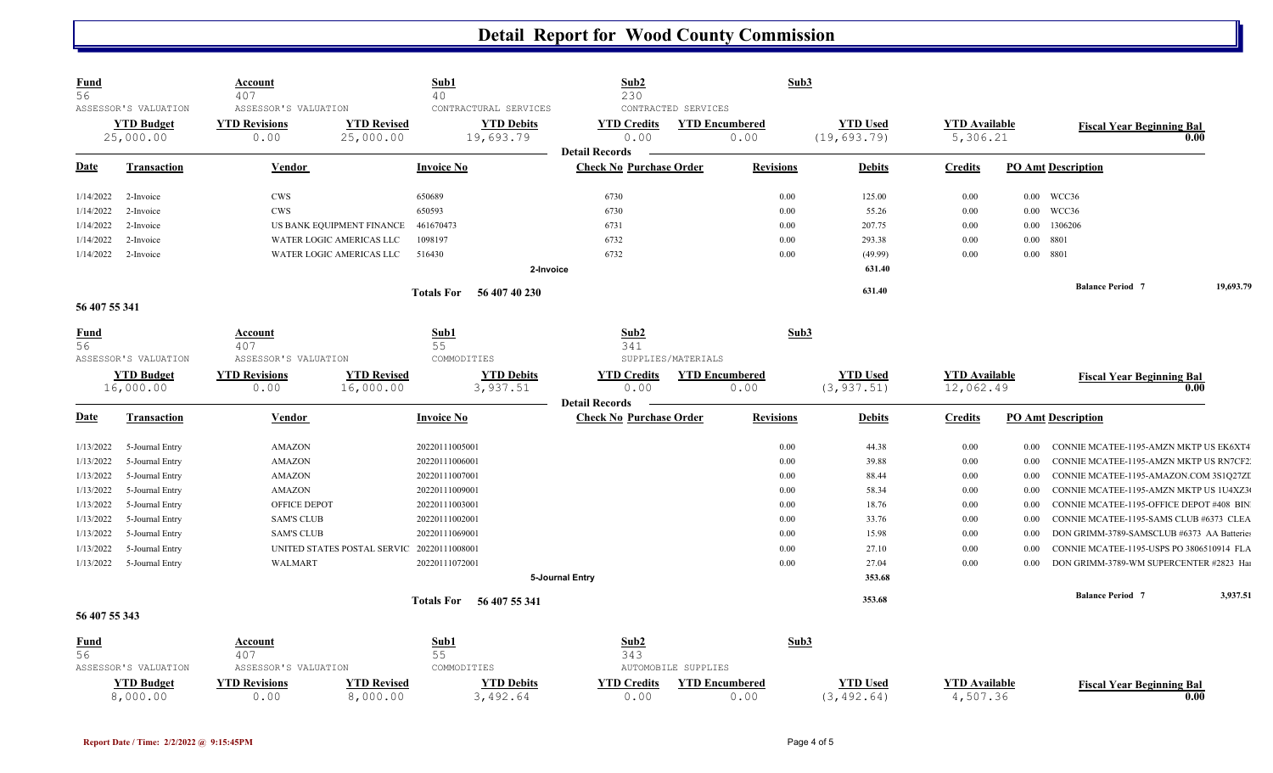| <b>Fund</b><br>56 |                                                        | <u>Account</u><br>407                                |                                            | Sub1<br>40                                              | Sub2<br>230                                             |                                                      | Sub3                            |                                   |                                                    |                   |
|-------------------|--------------------------------------------------------|------------------------------------------------------|--------------------------------------------|---------------------------------------------------------|---------------------------------------------------------|------------------------------------------------------|---------------------------------|-----------------------------------|----------------------------------------------------|-------------------|
|                   | ASSESSOR'S VALUATION<br><b>YTD Budget</b><br>25,000.00 | ASSESSOR'S VALUATION<br><b>YTD Revisions</b><br>0.00 | <b>YTD Revised</b><br>25,000.00            | CONTRACTURAL SERVICES<br><b>YTD Debits</b><br>19,693.79 | <b>YTD Credits</b><br>0.00                              | CONTRACTED SERVICES<br><b>YTD Encumbered</b><br>0.00 | <b>YTD Used</b><br>(19, 693.79) | <b>YTD</b> Available<br>5,306.21  | <b>Fiscal Year Beginning Bal</b>                   | $\overline{0.00}$ |
| <b>Date</b>       | <b>Transaction</b>                                     | Vendor                                               |                                            | <b>Invoice No</b>                                       | <b>Detail Records</b><br><b>Check No Purchase Order</b> | <b>Revisions</b>                                     | <b>Debits</b>                   | <b>Credits</b>                    | <b>PO Amt Description</b>                          |                   |
| 1/14/2022         | 2-Invoice                                              | <b>CWS</b>                                           |                                            | 650689                                                  | 6730                                                    |                                                      | 125.00<br>0.00                  | 0.00                              | 0.00 WCC36                                         |                   |
| 1/14/2022         | 2-Invoice                                              | <b>CWS</b>                                           |                                            | 650593                                                  | 6730                                                    |                                                      | 55.26<br>0.00                   | 0.00                              | 0.00 WCC36                                         |                   |
| 1/14/2022         | 2-Invoice                                              |                                                      | US BANK EQUIPMENT FINANCE                  | 461670473                                               | 6731                                                    |                                                      | 207.75<br>0.00                  | 0.00                              | 1306206<br>$0.00\,$                                |                   |
| 1/14/2022         | 2-Invoice                                              |                                                      | WATER LOGIC AMERICAS LLC                   | 1098197                                                 | 6732                                                    |                                                      | 0.00<br>293.38                  | 0.00                              | $0.00\,$<br>8801                                   |                   |
| 1/14/2022         | 2-Invoice                                              |                                                      | WATER LOGIC AMERICAS LLC                   | 516430                                                  | 6732                                                    |                                                      | 0.00<br>(49.99)                 | 0.00                              | $0.00\,$<br>8801                                   |                   |
|                   |                                                        |                                                      |                                            |                                                         | 2-Invoice                                               |                                                      | 631.40                          |                                   |                                                    |                   |
|                   |                                                        |                                                      |                                            | 56 407 40 230<br><b>Totals For</b>                      |                                                         |                                                      | 631.40                          |                                   | <b>Balance Period 7</b>                            | 19,693.79         |
| 56 407 55 341     |                                                        |                                                      |                                            |                                                         |                                                         |                                                      |                                 |                                   |                                                    |                   |
| <b>Fund</b>       |                                                        | <b>Account</b>                                       |                                            | Sub1                                                    | Sub2                                                    |                                                      | Sub3                            |                                   |                                                    |                   |
| 56                |                                                        | 407                                                  |                                            | 55                                                      | 341                                                     |                                                      |                                 |                                   |                                                    |                   |
|                   | ASSESSOR'S VALUATION                                   | ASSESSOR'S VALUATION                                 |                                            | COMMODITIES                                             |                                                         | SUPPLIES/MATERIALS                                   |                                 |                                   |                                                    |                   |
|                   | <b>YTD Budget</b><br>16,000.00                         | <b>YTD Revisions</b><br>0.00                         | <b>YTD Revised</b><br>16,000.00            | <b>YTD Debits</b><br>3,937.51                           | <b>YTD Credits</b><br>0.00                              | <b>YTD Encumbered</b><br>0.00                        | <b>YTD Used</b><br>(3, 937.51)  | <b>YTD Available</b><br>12,062.49 | <b>Fiscal Year Beginning Bal</b>                   | 0.00              |
|                   |                                                        |                                                      |                                            |                                                         | <b>Detail Records</b>                                   |                                                      |                                 |                                   |                                                    |                   |
| <b>Date</b>       | <b>Transaction</b>                                     | <b>Vendor</b>                                        |                                            | <b>Invoice No</b>                                       | <b>Check No Purchase Order</b>                          | <b>Revisions</b>                                     | <b>Debits</b>                   | <b>Credits</b>                    | <b>PO Amt Description</b>                          |                   |
|                   |                                                        |                                                      |                                            |                                                         |                                                         |                                                      |                                 |                                   |                                                    |                   |
| 1/13/2022         | 5-Journal Entry                                        | <b>AMAZON</b>                                        |                                            | 20220111005001                                          |                                                         |                                                      | 0.00<br>44.38                   | 0.00                              | CONNIE MCATEE-1195-AMZN MKTP US EK6XT4<br>$0.00\,$ |                   |
| 1/13/2022         | 5-Journal Entry                                        | <b>AMAZON</b>                                        |                                            | 20220111006001                                          |                                                         |                                                      | 0.00<br>39.88                   | 0.00                              | CONNIE MCATEE-1195-AMZN MKTP US RN7CF2.<br>0.00    |                   |
| 1/13/2022         | 5-Journal Entry                                        | <b>AMAZON</b>                                        |                                            | 20220111007001                                          |                                                         |                                                      | 0.00<br>88.44                   | 0.00                              | CONNIE MCATEE-1195-AMAZON.COM 3S1Q27ZI<br>0.00     |                   |
| 1/13/2022         | 5-Journal Entry                                        | AMAZON                                               |                                            | 20220111009001                                          |                                                         |                                                      | 0.00<br>58.34                   | 0.00                              | CONNIE MCATEE-1195-AMZN MKTP US 1U4XZ3<br>0.00     |                   |
| 1/13/2022         | 5-Journal Entry                                        | <b>OFFICE DEPOT</b>                                  |                                            | 20220111003001                                          |                                                         |                                                      | 0.00<br>18.76                   | 0.00                              | 0.00<br>CONNIE MCATEE-1195-OFFICE DEPOT #408 BIN   |                   |
| 1/13/2022         | 5-Journal Entry                                        | <b>SAM'S CLUB</b>                                    |                                            | 20220111002001                                          |                                                         |                                                      | 33.76<br>0.00                   | 0.00                              | CONNIE MCATEE-1195-SAMS CLUB #6373 CLEA<br>0.00    |                   |
| 1/13/2022         | 5-Journal Entry                                        | <b>SAM'S CLUB</b>                                    |                                            | 20220111069001                                          |                                                         |                                                      | 0.00<br>15.98                   | 0.00                              | DON GRIMM-3789-SAMSCLUB #6373 AA Batteries<br>0.00 |                   |
| 1/13/2022         | 5-Journal Entry                                        |                                                      | UNITED STATES POSTAL SERVIC 20220111008001 |                                                         |                                                         |                                                      | 0.00<br>27.10                   | 0.00                              | CONNIE MCATEE-1195-USPS PO 3806510914 FLA<br>0.00  |                   |
| 1/13/2022         | 5-Journal Entry                                        | WALMART                                              |                                            | 20220111072001                                          |                                                         |                                                      | 0.00<br>27.04                   | 0.00                              | DON GRIMM-3789-WM SUPERCENTER #2823 Hai<br>0.00    |                   |
|                   |                                                        |                                                      |                                            |                                                         | 5-Journal Entry                                         |                                                      | 353.68                          |                                   |                                                    |                   |
|                   |                                                        |                                                      |                                            | Totals For 56 407 55 341                                |                                                         |                                                      | 353.68                          |                                   | <b>Balance Period</b> 7                            | 3,937.51          |
| 56 407 55 343     |                                                        |                                                      |                                            |                                                         |                                                         |                                                      |                                 |                                   |                                                    |                   |
| <b>Fund</b>       |                                                        | <b>Account</b>                                       |                                            | Sub1                                                    | Sub2                                                    |                                                      | Sub3                            |                                   |                                                    |                   |
| 56                |                                                        | 407                                                  |                                            | 55                                                      | 343                                                     |                                                      |                                 |                                   |                                                    |                   |
|                   | ASSESSOR'S VALUATION                                   | ASSESSOR'S VALUATION                                 |                                            | COMMODITIES                                             |                                                         | AUTOMOBILE SUPPLIES                                  |                                 |                                   |                                                    |                   |
|                   | <b>YTD Budget</b>                                      | <b>YTD Revisions</b>                                 | <b>YTD Revised</b>                         | <b>YTD Debits</b>                                       | <b>YTD Credits</b>                                      | <b>YTD Encumbered</b>                                | <b>YTD Used</b>                 | <b>YTD Available</b>              | <b>Fiscal Year Beginning Bal</b>                   |                   |
|                   | 8,000.00                                               | 0.00                                                 | 8,000.00                                   | 3,492.64                                                | 0.00                                                    | 0.00                                                 | (3, 492.64)                     | 4,507.36                          |                                                    | 0.00              |